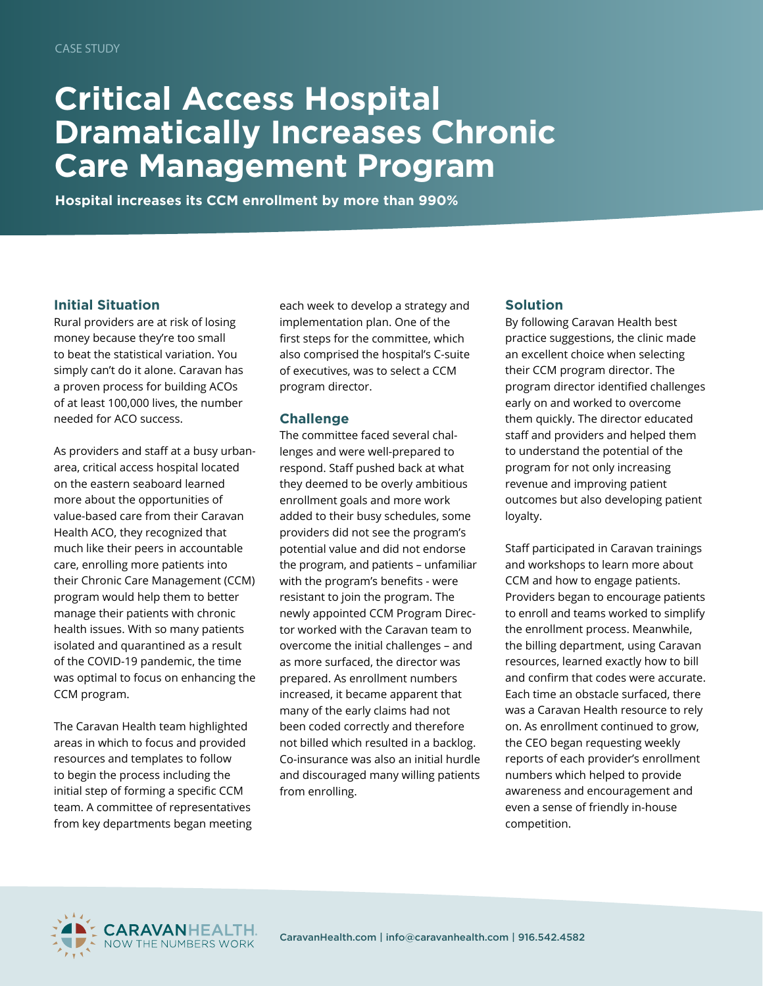# **Critical Access Hospital Dramatically Increases Chronic Care Management Program**

**Hospital increases its CCM enrollment by more than 990%**

### **Initial Situation**

Rural providers are at risk of losing money because they're too small to beat the statistical variation. You simply can't do it alone. Caravan has a proven process for building ACOs of at least 100,000 lives, the number needed for ACO success.

As providers and staff at a busy urbanarea, critical access hospital located on the eastern seaboard learned more about the opportunities of value-based care from their Caravan Health ACO, they recognized that much like their peers in accountable care, enrolling more patients into their Chronic Care Management (CCM) program would help them to better manage their patients with chronic health issues. With so many patients isolated and quarantined as a result of the COVID-19 pandemic, the time was optimal to focus on enhancing the CCM program.

The Caravan Health team highlighted areas in which to focus and provided resources and templates to follow to begin the process including the initial step of forming a specific CCM team. A committee of representatives from key departments began meeting each week to develop a strategy and implementation plan. One of the first steps for the committee, which also comprised the hospital's C-suite of executives, was to select a CCM program director.

### **Challenge**

The committee faced several challenges and were well-prepared to respond. Staff pushed back at what they deemed to be overly ambitious enrollment goals and more work added to their busy schedules, some providers did not see the program's potential value and did not endorse the program, and patients – unfamiliar with the program's benefits - were resistant to join the program. The newly appointed CCM Program Director worked with the Caravan team to overcome the initial challenges – and as more surfaced, the director was prepared. As enrollment numbers increased, it became apparent that many of the early claims had not been coded correctly and therefore not billed which resulted in a backlog. Co-insurance was also an initial hurdle and discouraged many willing patients from enrolling.

### **Solution**

By following Caravan Health best practice suggestions, the clinic made an excellent choice when selecting their CCM program director. The program director identified challenges early on and worked to overcome them quickly. The director educated staff and providers and helped them to understand the potential of the program for not only increasing revenue and improving patient outcomes but also developing patient loyalty.

Staff participated in Caravan trainings and workshops to learn more about CCM and how to engage patients. Providers began to encourage patients to enroll and teams worked to simplify the enrollment process. Meanwhile, the billing department, using Caravan resources, learned exactly how to bill and confirm that codes were accurate. Each time an obstacle surfaced, there was a Caravan Health resource to rely on. As enrollment continued to grow, the CEO began requesting weekly reports of each provider's enrollment numbers which helped to provide awareness and encouragement and even a sense of friendly in-house competition.